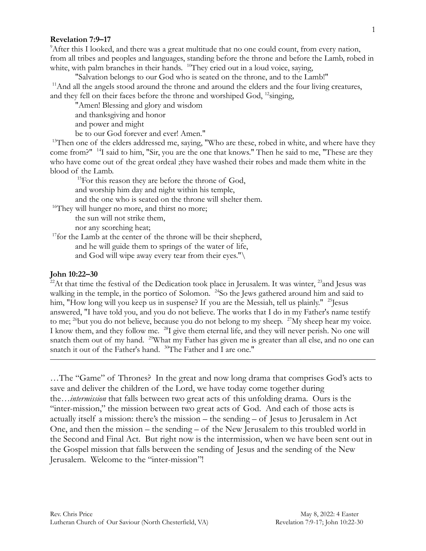## **Revelation 7:9–17**

<sup>9</sup>After this I looked, and there was a great multitude that no one could count, from every nation, from all tribes and peoples and languages, standing before the throne and before the Lamb, robed in white, with palm branches in their hands. <sup>10</sup>They cried out in a loud voice, saying,

"Salvation belongs to our God who is seated on the throne, and to the Lamb!" <sup>11</sup>And all the angels stood around the throne and around the elders and the four living creatures, and they fell on their faces before the throne and worshiped God, <sup>12</sup>singing,

"Amen! Blessing and glory and wisdom

and thanksgiving and honor

and power and might

be to our God forever and ever! Amen."

<sup>13</sup>Then one of the elders addressed me, saying, "Who are these, robed in white, and where have they come from?" <sup>14</sup>I said to him, "Sir, you are the one that knows." Then he said to me, "These are they who have come out of the great ordeal ;they have washed their robes and made them white in the blood of the Lamb.

<sup>15</sup>For this reason they are before the throne of God,

and worship him day and night within his temple,

and the one who is seated on the throne will shelter them.

<sup>16</sup>They will hunger no more, and thirst no more;

the sun will not strike them,

nor any scorching heat;

 $17$  for the Lamb at the center of the throne will be their shepherd,

and he will guide them to springs of the water of life,

and God will wipe away every tear from their eyes."\

## **John 10:22–30**

 $^{22}$ At that time the festival of the Dedication took place in Jerusalem. It was winter,  $^{23}$  and Jesus was walking in the temple, in the portico of Solomon. <sup>24</sup>So the Jews gathered around him and said to him, "How long will you keep us in suspense? If you are the Messiah, tell us plainly." <sup>25</sup> Jesus answered, "I have told you, and you do not believe. The works that I do in my Father's name testify to me;  $^{26}$ but you do not believe, because you do not belong to my sheep.  $^{27}$ My sheep hear my voice. I know them, and they follow me. <sup>28</sup>I give them eternal life, and they will never perish. No one will snatch them out of my hand. <sup>29</sup>What my Father has given me is greater than all else, and no one can snatch it out of the Father's hand. <sup>30</sup>The Father and I are one."

 $\frac{1}{\sqrt{2}}$  , and the contract of the contract of the contract of the contract of the contract of the contract of the contract of the contract of the contract of the contract of the contract of the contract of the contra

…The "Game" of Thrones? In the great and now long drama that comprises God's acts to save and deliver the children of the Lord, we have today come together during the…*intermission* that falls between two great acts of this unfolding drama. Ours is the "inter-mission," the mission between two great acts of God. And each of those acts is actually itself a mission: there's the mission – the sending – of Jesus to Jerusalem in Act One, and then the mission – the sending – of the New Jerusalem to this troubled world in the Second and Final Act. But right now is the intermission, when we have been sent out in the Gospel mission that falls between the sending of Jesus and the sending of the New Jerusalem. Welcome to the "inter-mission"!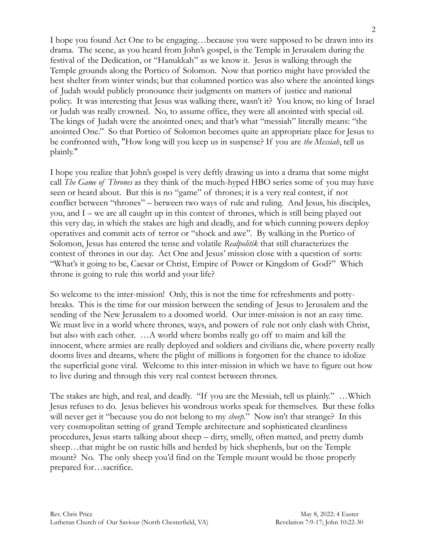I hope you found Act One to be engaging…because you were supposed to be drawn into its drama. The scene, as you heard from John's gospel, is the Temple in Jerusalem during the festival of the Dedication, or "Hanukkah" as we know it. Jesus is walking through the Temple grounds along the Portico of Solomon. Now that portico might have provided the best shelter from winter winds; but that columned portico was also where the anointed kings of Judah would publicly pronounce their judgments on matters of justice and national policy. It was interesting that Jesus was walking there, wasn't it? You know, no king of Israel or Judah was really crowned. No, to assume office, they were all anointed with special oil. The kings of Judah were the anointed ones; and that's what "messiah" literally means: "the anointed One." So that Portico of Solomon becomes quite an appropriate place for Jesus to be confronted with, "How long will you keep us in suspense? If you are *the Messiah*, tell us plainly."

I hope you realize that John's gospel is very deftly drawing us into a drama that some might call *The Game of Thrones* as they think of the much-hyped HBO series some of you may have seen or heard about. But this is no "game" of thrones; it is a very real contest, if not conflict between "thrones" – between two ways of rule and ruling. And Jesus, his disciples, you, and I – we are all caught up in this contest of thrones, which is still being played out this very day, in which the stakes are high and deadly, and for which cunning powers deploy operatives and commit acts of terror or "shock and awe". By walking in the Portico of Solomon, Jesus has entered the tense and volatile *Realpolitik* that still characterizes the contest of thrones in our day. Act One and Jesus' mission close with a question of sorts: "What's it going to be, Caesar or Christ, Empire of Power or Kingdom of God?" Which throne is going to rule this world and your life?

So welcome to the inter-mission! Only, this is not the time for refreshments and pottybreaks. This is the time for our mission between the sending of Jesus to Jerusalem and the sending of the New Jerusalem to a doomed world. Our inter-mission is not an easy time. We must live in a world where thrones, ways, and powers of rule not only clash with Christ, but also with each other. …A world where bombs really go off to maim and kill the innocent, where armies are really deployed and soldiers and civilians die, where poverty really dooms lives and dreams, where the plight of millions is forgotten for the chance to idolize the superficial gone viral. Welcome to this inter-mission in which we have to figure out how to live during and through this very real contest between thrones.

The stakes are high, and real, and deadly. "If you are the Messiah, tell us plainly." …Which Jesus refuses to do. Jesus believes his wondrous works speak for themselves. But these folks will never get it "because you do not belong to my *sheep*." Now isn't that strange? In this very cosmopolitan setting of grand Temple architecture and sophisticated cleanliness procedures, Jesus starts talking about sheep – dirty, smelly, often matted, and pretty dumb sheep…that might be on rustic hills and herded by hick shepherds, but on the Temple mount? No. The only sheep you'd find on the Temple mount would be those properly prepared for…sacrifice.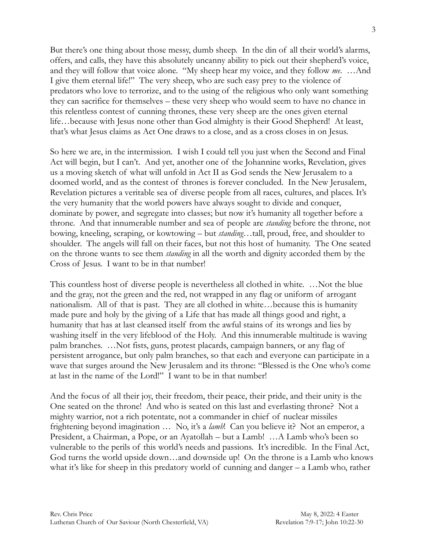But there's one thing about those messy, dumb sheep. In the din of all their world's alarms, offers, and calls, they have this absolutely uncanny ability to pick out their shepherd's voice, and they will follow that voice alone. "My sheep hear my voice, and they follow *me*. …And I give them eternal life!" The very sheep, who are such easy prey to the violence of predators who love to terrorize, and to the using of the religious who only want something they can sacrifice for themselves – these very sheep who would seem to have no chance in this relentless contest of cunning thrones, these very sheep are the ones given eternal life…because with Jesus none other than God almighty is their Good Shepherd! At least, that's what Jesus claims as Act One draws to a close, and as a cross closes in on Jesus.

So here we are, in the intermission. I wish I could tell you just when the Second and Final Act will begin, but I can't. And yet, another one of the Johannine works, Revelation, gives us a moving sketch of what will unfold in Act II as God sends the New Jerusalem to a doomed world, and as the contest of thrones is forever concluded. In the New Jerusalem, Revelation pictures a veritable sea of diverse people from all races, cultures, and places. It's the very humanity that the world powers have always sought to divide and conquer, dominate by power, and segregate into classes; but now it's humanity all together before a throne. And that innumerable number and sea of people are *standing* before the throne, not bowing, kneeling, scraping, or kowtowing – but *standing…*tall, proud, free, and shoulder to shoulder. The angels will fall on their faces, but not this host of humanity. The One seated on the throne wants to see them *standing* in all the worth and dignity accorded them by the Cross of Jesus. I want to be in that number!

This countless host of diverse people is nevertheless all clothed in white. …Not the blue and the gray, not the green and the red, not wrapped in any flag or uniform of arrogant nationalism. All of that is past. They are all clothed in white…because this is humanity made pure and holy by the giving of a Life that has made all things good and right, a humanity that has at last cleansed itself from the awful stains of its wrongs and lies by washing itself in the very lifeblood of the Holy. And this innumerable multitude is waving palm branches. …Not fists, guns, protest placards, campaign banners, or any flag of persistent arrogance, but only palm branches, so that each and everyone can participate in a wave that surges around the New Jerusalem and its throne: "Blessed is the One who's come at last in the name of the Lord!" I want to be in that number!

And the focus of all their joy, their freedom, their peace, their pride, and their unity is the One seated on the throne! And who is seated on this last and everlasting throne? Not a mighty warrior, not a rich potentate, not a commander in chief of nuclear missiles frightening beyond imagination … No, it's a *lamb*! Can you believe it? Not an emperor, a President, a Chairman, a Pope, or an Ayatollah – but a Lamb! …A Lamb who's been so vulnerable to the perils of this world's needs and passions. It's incredible. In the Final Act, God turns the world upside down…and downside up! On the throne is a Lamb who knows what it's like for sheep in this predatory world of cunning and danger – a Lamb who, rather